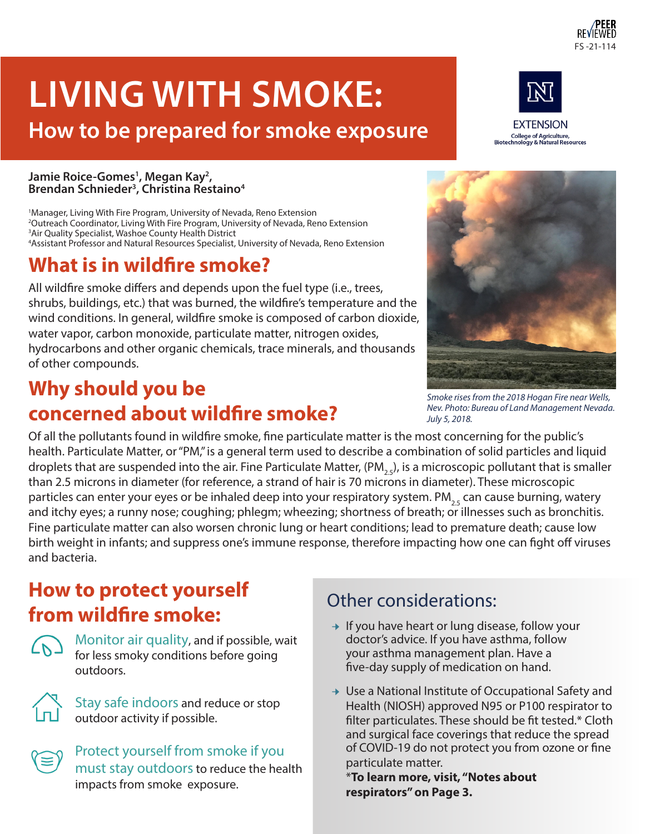# **LIVING WITH SMOKE:**

# **How to be prepared for smoke exposure**

#### **Jamie Roice-Gomes1 , Megan Kay2 , Brendan Schnieder3 , Christina Restaino4**

 Manager, Living With Fire Program, University of Nevada, Reno Extension Outreach Coordinator, Living With Fire Program, University of Nevada, Reno Extension Air Quality Specialist, Washoe County Health District Assistant Professor and Natural Resources Specialist, University of Nevada, Reno Extension

# **What is in wildfire smoke?**

All wildfire smoke differs and depends upon the fuel type (i.e., trees, shrubs, buildings, etc.) that was burned, the wildfire's temperature and the wind conditions. In general, wildfire smoke is composed of carbon dioxide, water vapor, carbon monoxide, particulate matter, nitrogen oxides, hydrocarbons and other organic chemicals, trace minerals, and thousands of other compounds.

# **Why should you be concerned about wildfire smoke?**

Of all the pollutants found in wildfire smoke, fine particulate matter is the most concerning for the public's health. Particulate Matter, or "PM," is a general term used to describe a combination of solid particles and liquid droplets that are suspended into the air. Fine Particulate Matter, (PM<sub>25</sub>), is a microscopic pollutant that is smaller than 2.5 microns in diameter (for reference, a strand of hair is 70 microns in diameter). These microscopic particles can enter your eyes or be inhaled deep into your respiratory system. PM<sub>25</sub> can cause burning, watery and itchy eyes; a runny nose; coughing; phlegm; wheezing; shortness of breath; or illnesses such as bronchitis. Fine particulate matter can also worsen chronic lung or heart conditions; lead to premature death; cause low birth weight in infants; and suppress one's immune response, therefore impacting how one can fight off viruses and bacteria.

# **How to protect yourself from wildfire smoke:**

Monitor air quality, and if possible, wait for less smoky conditions before going outdoors.

Stay safe indoors and reduce or stop outdoor activity if possible.

Protect yourself from smoke if you must stay outdoors to reduce the health impacts from smoke exposure.

#### Other considerations:

- $\rightarrow$  If you have heart or lung disease, follow your doctor's advice. If you have asthma, follow your asthma management plan. Have a five-day supply of medication on hand.
- $\rightarrow$  Use a National Institute of Occupational Safety and Health (NIOSH) approved N95 or P100 respirator to filter particulates. These should be fit tested.\* Cloth and surgical face coverings that reduce the spread of COVID-19 do not protect you from ozone or fine particulate matter.

\***To learn more, visit, "Notes about respirators" on Page 3.** 







FS -21-114

College of Agriculture,<br>Biotechnology & Natural Resources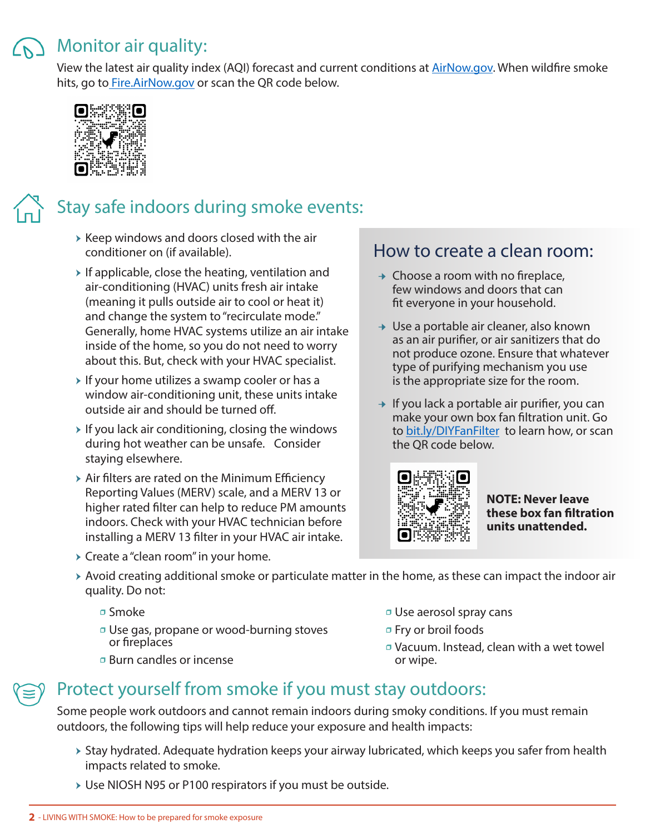#### Monitor air quality:

View the latest air quality index (AQI) forecast and current conditions at **AirNow.gov.** When wildfire smoke hits, go to Fire.AirNow.gov or scan the QR code below.



# Stay safe indoors during smoke events:

- $\triangleright$  Keep windows and doors closed with the air conditioner on (if available).
- $\triangleright$  If applicable, close the heating, ventilation and air-conditioning (HVAC) units fresh air intake (meaning it pulls outside air to cool or heat it) and change the system to "recirculate mode." Generally, home HVAC systems utilize an air intake inside of the home, so you do not need to worry about this. But, check with your HVAC specialist.
- $\triangleright$  If your home utilizes a swamp cooler or has a window air-conditioning unit, these units intake outside air and should be turned off.
- $\triangleright$  If you lack air conditioning, closing the windows during hot weather can be unsafe. Consider staying elsewhere.
- $\triangleright$  Air filters are rated on the Minimum Efficiency Reporting Values (MERV) scale, and a MERV 13 or higher rated filter can help to reduce PM amounts indoors. Check with your HVAC technician before installing a MERV 13 filter in your HVAC air intake.
- $\triangleright$  Create a "clean room" in your home.

#### How to create a clean room:

- $\rightarrow$  Choose a room with no fireplace, few windows and doors that can fit everyone in your household.
- $\rightarrow$  Use a portable air cleaner, also known as an air purifier, or air sanitizers that do not produce ozone. Ensure that whatever type of purifying mechanism you use is the appropriate size for the room.
- $\rightarrow$  If you lack a portable air purifier, you can make your own box fan filtration unit. Go to bit.ly/DIYFanFilter to learn how, or scan the QR code below.



**NOTE: Never leave these box fan filtration units unattended.** 

- $\rightarrow$  Avoid creating additional smoke or particulate matter in the home, as these can impact the indoor air quality. Do not:
	- □ Smoke
	- **J** Use gas, propane or wood-burning stoves or fireplaces
	- ӽ Burn candles or incense
- ӽ Use aerosol spray cans
- ӽ Fry or broil foods
- ӽ Vacuum. Instead, clean with a wet towel or wipe.

#### Protect yourself from smoke if you must stay outdoors:

Some people work outdoors and cannot remain indoors during smoky conditions. If you must remain outdoors, the following tips will help reduce your exposure and health impacts:

- ▶ Stay hydrated. Adequate hydration keeps your airway lubricated, which keeps you safer from health impacts related to smoke.
- ▶ Use NIOSH N95 or P100 respirators if you must be outside.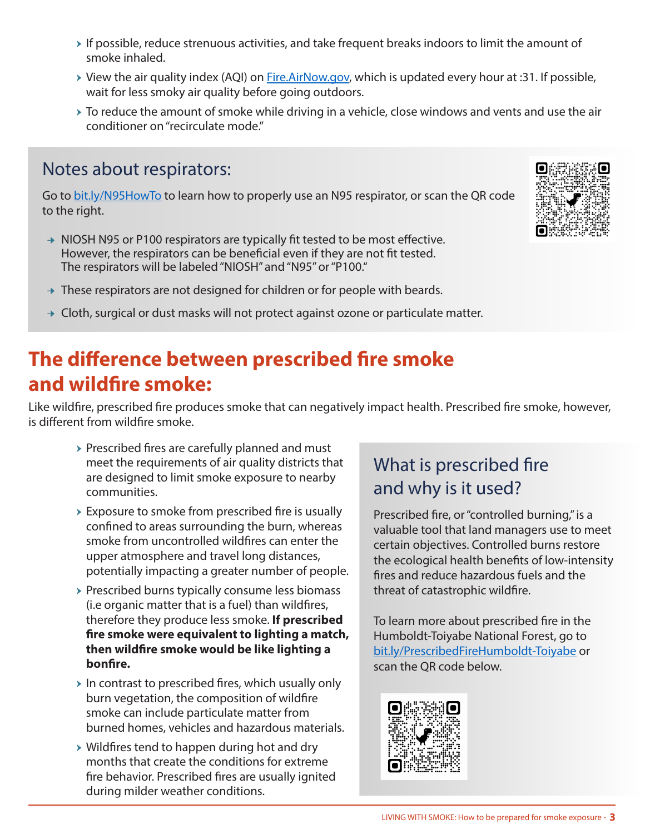- $\rightarrow$  If possible, reduce strenuous activities, and take frequent breaks indoors to limit the amount of smoke inhaled.
- ▶ View the air quality index (AQI) on Fire.AirNow.gov, which is updated every hour at :31. If possible, wait for less smoky air quality before going outdoors.
- $\rightarrow$  To reduce the amount of smoke while driving in a vehicle, close windows and vents and use the air conditioner on "recirculate mode."

#### Notes about respirators:

Go to bit.ly/N95HowTo to learn how to properly use an N95 respirator, or scan the QR code to the right.

- → NIOSH N95 or P100 respirators are typically fit tested to be most effective. However, the respirators can be beneficial even if they are not fit tested. The respirators will be labeled "NIOSH" and "N95" or "P100."
- $\rightarrow$  These respirators are not designed for children or for people with beards.
- $\rightarrow$  Cloth, surgical or dust masks will not protect against ozone or particulate matter.

# **The difference between prescribed fire smoke and wildfire smoke:**

Like wildfire, prescribed fire produces smoke that can negatively impact health. Prescribed fire smoke, however, is different from wildfire smoke.

- $\triangleright$  Prescribed fires are carefully planned and must meet the requirements of air quality districts that are designed to limit smoke exposure to nearby communities.
- $\triangleright$  Exposure to smoke from prescribed fire is usually confined to areas surrounding the burn, whereas smoke from uncontrolled wildfires can enter the upper atmosphere and travel long distances, potentially impacting a greater number of people.
- $\rightarrow$  Prescribed burns typically consume less biomass (i.e organic matter that is a fuel) than wildfires, therefore they produce less smoke. **If prescribed fire smoke were equivalent to lighting a match, then wildfire smoke would be like lighting a bonfire.**
- $\triangleright$  In contrast to prescribed fires, which usually only burn vegetation, the composition of wildfire smoke can include particulate matter from burned homes, vehicles and hazardous materials.
- $\triangleright$  Wildfires tend to happen during hot and dry months that create the conditions for extreme fire behavior. Prescribed fires are usually ignited during milder weather conditions.

#### What is prescribed fire and why is it used?

Prescribed fire, or "controlled burning," is a valuable tool that land managers use to meet certain objectives. Controlled burns restore the ecological health benefits of low-intensity fires and reduce hazardous fuels and the threat of catastrophic wildfire.

To learn more about prescribed fire in the Humboldt-Toiyabe National Forest, go to bit.ly/PrescribedFireHumboldt-Toiyabe or scan the QR code below.